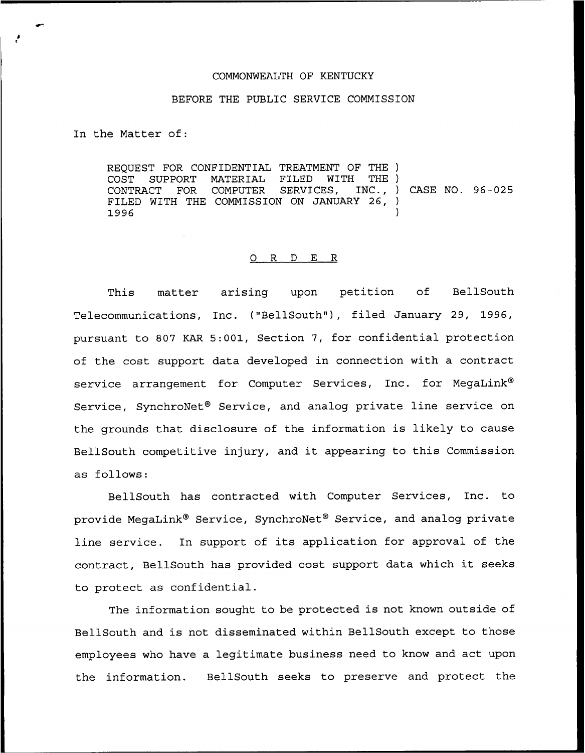## COMMONWEALTH OF KENTUCKY

## BEFORE THE PUBLIC SERVICE COMMISSION

In the Matter of:

REQUEST FOR CONFIDENTIAL TREATMENT OF THE ) COST SUPPORT MATERIAL FILED WITH THE )<br>CONTRACT FOR COMPUTER SERVICES, INC., ) FOR COMPUTER SERVICES, INC., ) CASE NO. 96-025 FILED WITH THE COMMISSION ON JANUARY 26,<br>1996  $1996$  )

## 0 R <sup>D</sup> E R

This matter arising upon petition of BellSouth Telecommunications, Inc. ("BellSouth"), filed January 29, 1996, pursuant to 807 KAR 5:001, Section 7, for confidential protection of the cost support data developed in connection with a contract service arrangement for Computer Services, Inc. for MeqaLink® Service, SynchroNet<sup>®</sup> Service, and analog private line service on the grounds that disclosure of the information is likely to cause BellSouth competitive injury, and it appearing to this Commission as follows:

BellSouth has contracted with Computer Services, Inc. to provide MegaLink® Service, SynchroNet® Service, and analog private line service. In support of its application for approval of the contract, BellSouth has provided cost support data which it seeks to protect as confidential.

The information sought to be protected is not known outside of BellSouth and is not disseminated within BellSouth except to those employees who have a legitimate business need to know and act upon the information. BellSouth seeks to preserve and protect the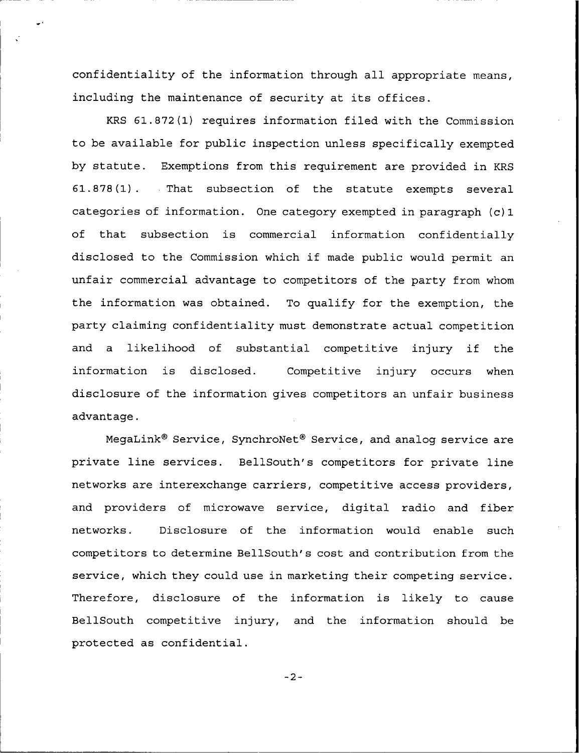confidentiality of the information through all appropriate means, including the maintenance of security at its offices.

KRS 61.872(1) requires information filed with the Commission to be available for public inspection unless specifically exempted by statute. Exemptions from this requirement are provided in KRS 61.878(1). That subsection of the statute exempts several categories of information. One category exempted in paragraph (c)1 of that subsection is commercial information confidentially disclosed to the Commission which if made public would permit an unfair commercial advantage to competitors of the party from whom the information was obtained. To qualify for the exemption, the party claiming confidentiality must demonstrate actual competition and <sup>a</sup> likelihood of substantial competitive injury if the information is disclosed. Competitive injury occurs when disclosure of the information gives competitors an unfair business advantage.

MegaLink<sup>®</sup> Service, SynchroNet<sup>®</sup> Service, and analog service are private line services. BellSouth's competitors for private line networks are interexchange carriers, competitive access providers, and providers of microwave service, digital radio and fiber networks. Disclosure of the information would enable such competitors to determine BellSouth's cost and contribution from the service, which they could use in marketing their competing service. Therefore, disclosure of the information is likely to cause BellSouth competitive injury, and the information should be protected as confidential.

 $-2-$